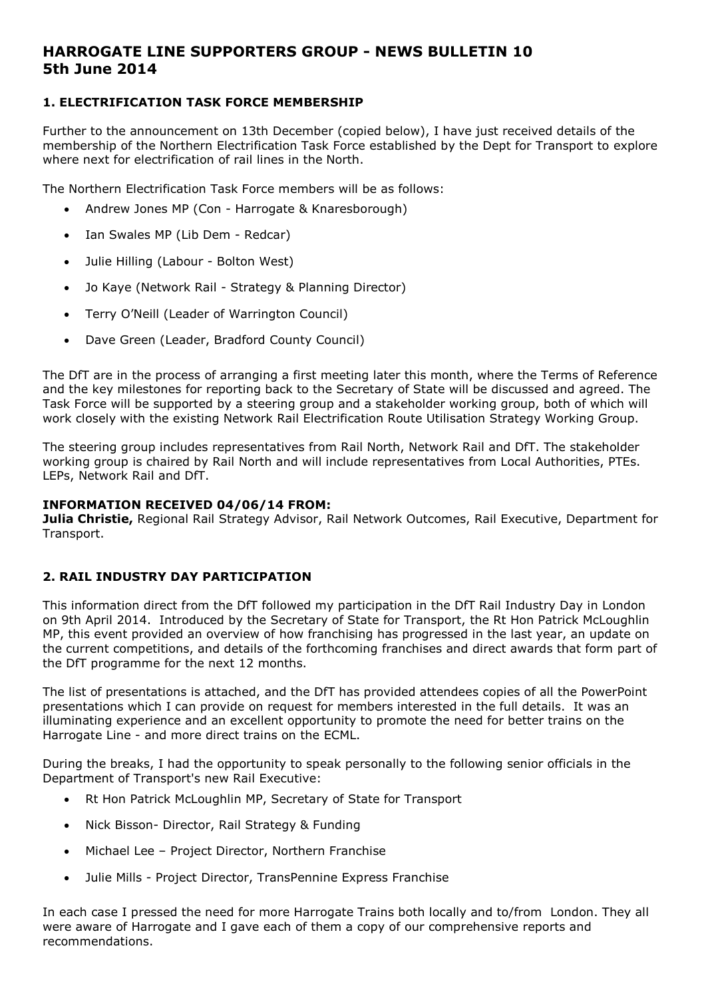# **HARROGATE LINE SUPPORTERS GROUP - NEWS BULLETIN 10 5th June 2014**

# **1. ELECTRIFICATION TASK FORCE MEMBERSHIP**

Further to the announcement on 13th December (copied below), I have just received details of the membership of the Northern Electrification Task Force established by the Dept for Transport to explore where next for electrification of rail lines in the North.

The Northern Electrification Task Force members will be as follows:

- Andrew Jones MP (Con Harrogate & Knaresborough)
- Ian Swales MP (Lib Dem Redcar)
- Julie Hilling (Labour Bolton West)
- Jo Kaye (Network Rail Strategy & Planning Director)
- Terry O'Neill (Leader of Warrington Council)
- Dave Green (Leader, Bradford County Council)

The DfT are in the process of arranging a first meeting later this month, where the Terms of Reference and the key milestones for reporting back to the Secretary of State will be discussed and agreed. The Task Force will be supported by a steering group and a stakeholder working group, both of which will work closely with the existing Network Rail Electrification Route Utilisation Strategy Working Group.

The steering group includes representatives from Rail North, Network Rail and DfT. The stakeholder working group is chaired by Rail North and will include representatives from Local Authorities, PTEs. LEPs, Network Rail and DfT.

#### **INFORMATION RECEIVED 04/06/14 FROM:**

**Julia Christie,** Regional Rail Strategy Advisor, Rail Network Outcomes, Rail Executive, Department for Transport.

### **2. RAIL INDUSTRY DAY PARTICIPATION**

This information direct from the DfT followed my participation in the DfT Rail Industry Day in London on 9th April 2014. Introduced by the Secretary of State for Transport, the Rt Hon Patrick McLoughlin MP, this event provided an overview of how franchising has progressed in the last year, an update on the current competitions, and details of the forthcoming franchises and direct awards that form part of the DfT programme for the next 12 months.

The list of presentations is attached, and the DfT has provided attendees copies of all the PowerPoint presentations which I can provide on request for members interested in the full details. It was an illuminating experience and an excellent opportunity to promote the need for better trains on the Harrogate Line - and more direct trains on the ECML.

During the breaks, I had the opportunity to speak personally to the following senior officials in the Department of Transport's new Rail Executive:

- Rt Hon Patrick McLoughlin MP, Secretary of State for Transport
- Nick Bisson- Director, Rail Strategy & Funding
- Michael Lee Project Director, Northern Franchise
- Julie Mills Project Director, TransPennine Express Franchise

In each case I pressed the need for more Harrogate Trains both locally and to/from London. They all were aware of Harrogate and I gave each of them a copy of our comprehensive reports and recommendations.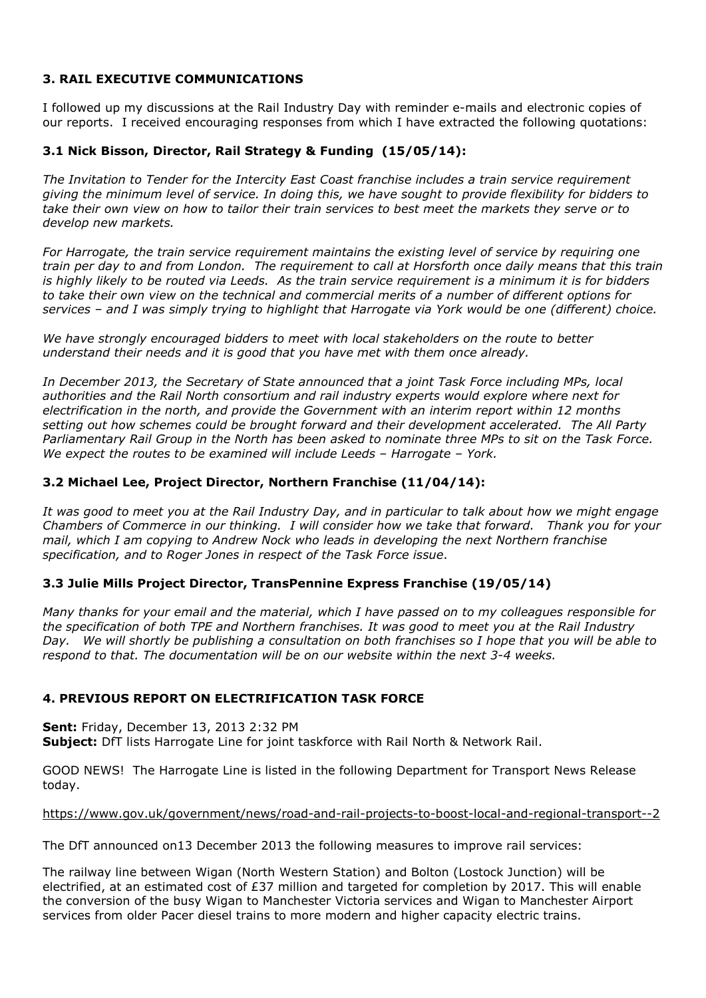# **3. RAIL EXECUTIVE COMMUNICATIONS**

I followed up my discussions at the Rail Industry Day with reminder e-mails and electronic copies of our reports. I received encouraging responses from which I have extracted the following quotations:

# **3.1 Nick Bisson, Director, Rail Strategy & Funding (15/05/14):**

*The Invitation to Tender for the Intercity East Coast franchise includes a train service requirement giving the minimum level of service. In doing this, we have sought to provide flexibility for bidders to take their own view on how to tailor their train services to best meet the markets they serve or to develop new markets.* 

*For Harrogate, the train service requirement maintains the existing level of service by requiring one train per day to and from London. The requirement to call at Horsforth once daily means that this train is highly likely to be routed via Leeds. As the train service requirement is a minimum it is for bidders to take their own view on the technical and commercial merits of a number of different options for services – and I was simply trying to highlight that Harrogate via York would be one (different) choice.* 

*We have strongly encouraged bidders to meet with local stakeholders on the route to better understand their needs and it is good that you have met with them once already.* 

*In December 2013, the Secretary of State announced that a joint Task Force including MPs, local authorities and the Rail North consortium and rail industry experts would explore where next for electrification in the north, and provide the Government with an interim report within 12 months setting out how schemes could be brought forward and their development accelerated. The All Party Parliamentary Rail Group in the North has been asked to nominate three MPs to sit on the Task Force. We expect the routes to be examined will include Leeds – Harrogate – York.*

# **3.2 Michael Lee, Project Director, Northern Franchise (11/04/14):**

*It was good to meet you at the Rail Industry Day, and in particular to talk about how we might engage Chambers of Commerce in our thinking. I will consider how we take that forward. Thank you for your mail, which I am copying to Andrew Nock who leads in developing the next Northern franchise specification, and to Roger Jones in respect of the Task Force issue*.

### **3.3 Julie Mills Project Director, TransPennine Express Franchise (19/05/14)**

*Many thanks for your email and the material, which I have passed on to my colleagues responsible for the specification of both TPE and Northern franchises. It was good to meet you at the Rail Industry Day. We will shortly be publishing a consultation on both franchises so I hope that you will be able to respond to that. The documentation will be on our website within the next 3-4 weeks.* 

### **4. PREVIOUS REPORT ON ELECTRIFICATION TASK FORCE**

**Sent:** Friday, December 13, 2013 2:32 PM

**Subject:** DfT lists Harrogate Line for joint taskforce with Rail North & Network Rail.

GOOD NEWS! The Harrogate Line is listed in the following Department for Transport News Release today.

### https://www.gov.uk/government/news/road-and-rail-projects-to-boost-local-and-regional-transport--2

The DfT announced on13 December 2013 the following measures to improve rail services:

The railway line between Wigan (North Western Station) and Bolton (Lostock Junction) will be electrified, at an estimated cost of £37 million and targeted for completion by 2017. This will enable the conversion of the busy Wigan to Manchester Victoria services and Wigan to Manchester Airport services from older Pacer diesel trains to more modern and higher capacity electric trains.